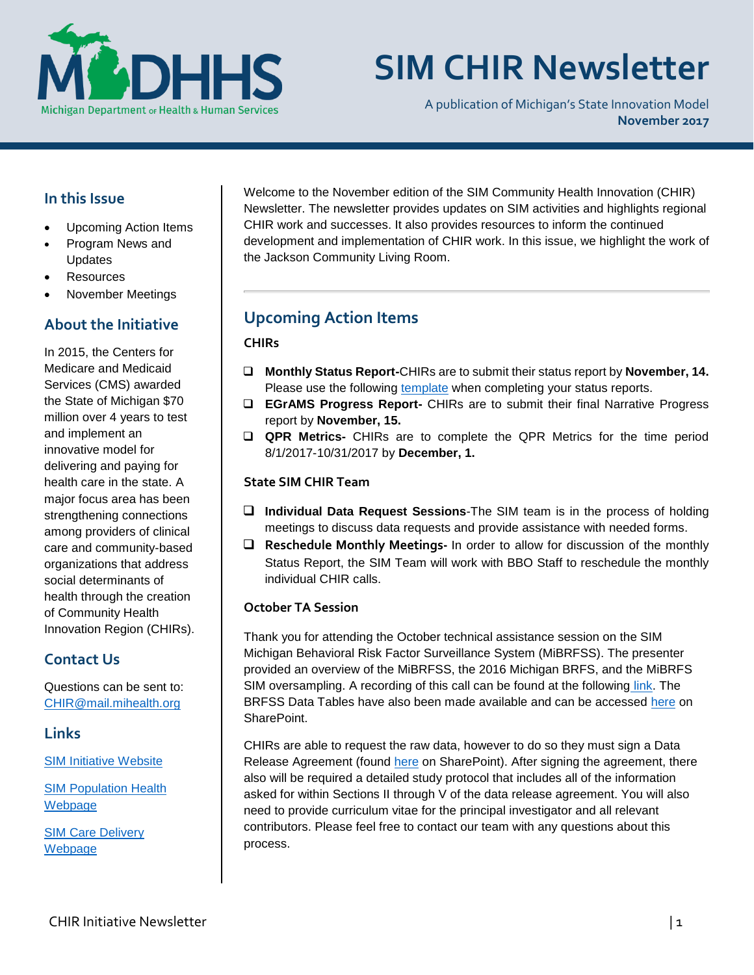

# **SIM CHIR Newsletter**

A publication of Michigan's State Innovation Model **November 2017** 

## **In this Issue**

- Upcoming Action Items
- Program News and Updates
- **Resources**
- November Meetings

## **About the Initiative**

In 2015, the Centers for Medicare and Medicaid Services (CMS) awarded the State of Michigan \$70 million over 4 years to test and implement an innovative model for delivering and paying for health care in the state. A major focus area has been strengthening connections among providers of clinical care and community-based organizations that address social determinants of health through the creation of Community Health Innovation Region (CHIRs).

## **Contact Us**

Questions can be sent to: [CHIR@mail.mihealth.org](mailto:CHIR@mail.mihealth.org)

## **Links**

[SIM Initiative Website](http://www.michigan.gov/mdhhs/0,5885,7-339-71551_2945_64491---,00.html)

[SIM Population Health](http://www.michigan.gov/mdhhs/0,5885,7-339-71551_2945_64491_76092_77453---,00.html)  [Webp](http://www.michigan.gov/mdhhs/0,5885,7-339-71551_2945_64491_76092_77453---,00.html)age

SIM [Care Delivery](http://www.michigan.gov/mdhhs/0,5885,7-339-71551_2945_64491_76092_77452---,00.html)  Webpage

Welcome to the November edition of the SIM Community Health Innovation (CHIR) Newsletter. The newsletter provides updates on SIM activities and highlights regional CHIR work and successes. It also provides resources to inform the continued development and implementation of CHIR work. In this issue, we highlight the work of the Jackson Community Living Room.

# **Upcoming Action Items**

#### **CHIRs**

- **Monthly Status Report-**CHIRs are to submit their status report by **November, 14.** Please use the following [template](https://stateofmichigan.sharepoint.com/teams/dhhs/bic/msacss/SIM/_layouts/15/WopiFrame.aspx?sourcedoc=%7b8960e28a-266a-4cfa-9648-81dfc7d62ba3%7d&action=edit&wdPid=1188cae2) when completing your status reports.
- **EGrAMS Progress Report-** CHIRs are to submit their final Narrative Progress report by **November, 15.**
- **QPR Metrics-** CHIRs are to complete the QPR Metrics for the time period 8/1/2017-10/31/2017 by **December, 1.**

#### **State SIM CHIR Team**

- **Individual Data Request Sessions**-The SIM team is in the process of holding meetings to discuss data requests and provide assistance with needed forms.
- **Reschedule Monthly Meetings-** In order to allow for discussion of the monthly Status Report, the SIM Team will work with BBO Staff to reschedule the monthly individual CHIR calls.

#### **October TA Session**

Thank you for attending the October technical assistance session on the SIM Michigan Behavioral Risk Factor Surveillance System (MiBRFSS). The presenter provided an overview of the MiBRFSS, the 2016 Michigan BRFS, and the MiBRFS SIM oversampling. A recording of this call can be found at the followin[g link.](https://mphi.webex.com/mphi/ldr.php?RCID=3434f983d90109d28917662f204622b0) The BRFSS Data Tables have also been made available and can be accessed [here](https://stateofmichigan.sharepoint.com/teams/dhhs/bic/msacss/SIM/All%20CHIRs/Resources/Miscellaneous/2016%20MiBRFS%20SIM%20Region%20Tables%20FINAL.pdf) on SharePoint.

CHIRs are able to request the raw data, however to do so they must sign a Data Release Agreement (found [here](https://stateofmichigan.sharepoint.com/teams/dhhs/bic/msacss/SIM/All%20CHIRs/Resources/Miscellaneous/MI%20BRFSS%20data%20release%20agreement.pdf) on SharePoint). After signing the agreement, there also will be required a detailed study protocol that includes all of the information asked for within Sections II through V of the data release agreement. You will also need to provide curriculum vitae for the principal investigator and all relevant contributors. Please feel free to contact our team with any questions about this process.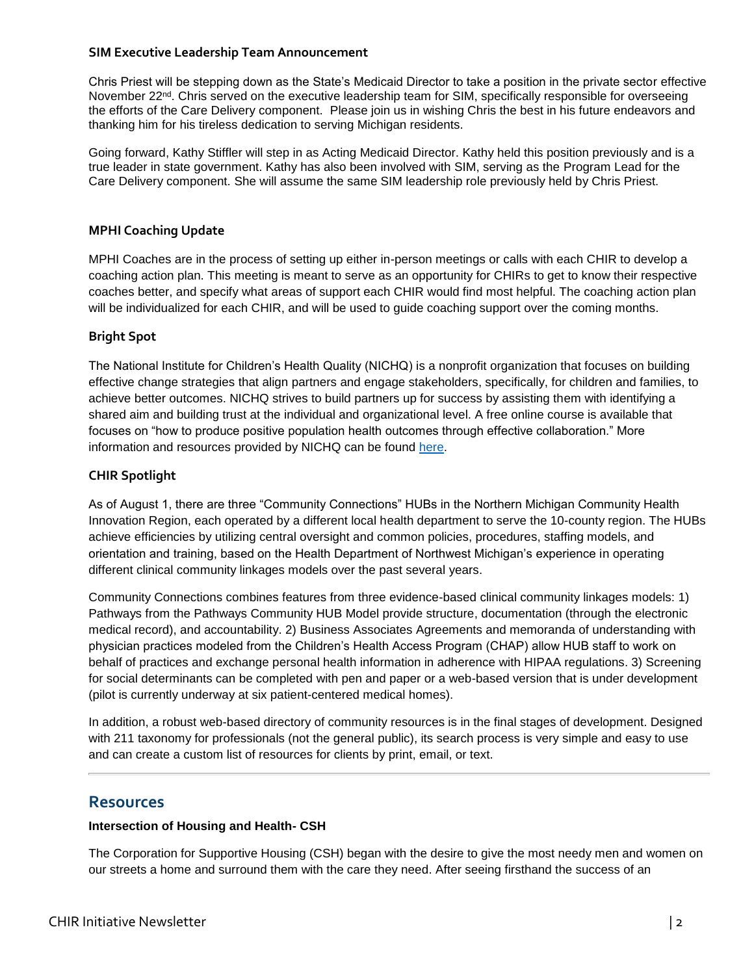#### **SIM Executive Leadership Team Announcement**

Chris Priest will be stepping down as the State's Medicaid Director to take a position in the private sector effective November 22<sup>nd</sup>. Chris served on the executive leadership team for SIM, specifically responsible for overseeing the efforts of the Care Delivery component. Please join us in wishing Chris the best in his future endeavors and thanking him for his tireless dedication to serving Michigan residents.

Going forward, Kathy Stiffler will step in as Acting Medicaid Director. Kathy held this position previously and is a true leader in state government. Kathy has also been involved with SIM, serving as the Program Lead for the Care Delivery component. She will assume the same SIM leadership role previously held by Chris Priest.

#### **MPHI Coaching Update**

MPHI Coaches are in the process of setting up either in-person meetings or calls with each CHIR to develop a coaching action plan. This meeting is meant to serve as an opportunity for CHIRs to get to know their respective coaches better, and specify what areas of support each CHIR would find most helpful. The coaching action plan will be individualized for each CHIR, and will be used to guide coaching support over the coming months.

#### **Bright Spot**

The National Institute for Children's Health Quality (NICHQ) is a nonprofit organization that focuses on building effective change strategies that align partners and engage stakeholders, specifically, for children and families, to achieve better outcomes. NICHQ strives to build partners up for success by assisting them with identifying a shared aim and building trust at the individual and organizational level. A free online course is available that focuses on "how to produce positive population health outcomes through effective collaboration." More information and resources provided by NICHQ can be found [here.](http://www.nichq.org/)

#### **CHIR Spotlight**

As of August 1, there are three "Community Connections" HUBs in the Northern Michigan Community Health Innovation Region, each operated by a different local health department to serve the 10-county region. The HUBs achieve efficiencies by utilizing central oversight and common policies, procedures, staffing models, and orientation and training, based on the Health Department of Northwest Michigan's experience in operating different clinical community linkages models over the past several years.

Community Connections combines features from three evidence-based clinical community linkages models: 1) Pathways from the Pathways Community HUB Model provide structure, documentation (through the electronic medical record), and accountability. 2) Business Associates Agreements and memoranda of understanding with physician practices modeled from the Children's Health Access Program (CHAP) allow HUB staff to work on behalf of practices and exchange personal health information in adherence with HIPAA regulations. 3) Screening for social determinants can be completed with pen and paper or a web-based version that is under development (pilot is currently underway at six patient-centered medical homes).

In addition, a robust web-based directory of community resources is in the final stages of development. Designed with 211 taxonomy for professionals (not the general public), its search process is very simple and easy to use and can create a custom list of resources for clients by print, email, or text.

## **Resources**

## **Intersection of Housing and Health- CSH**

The Corporation for Supportive Housing (CSH) began with the desire to give the most needy men and women on our streets a home and surround them with the care they need. After seeing firsthand the success of an